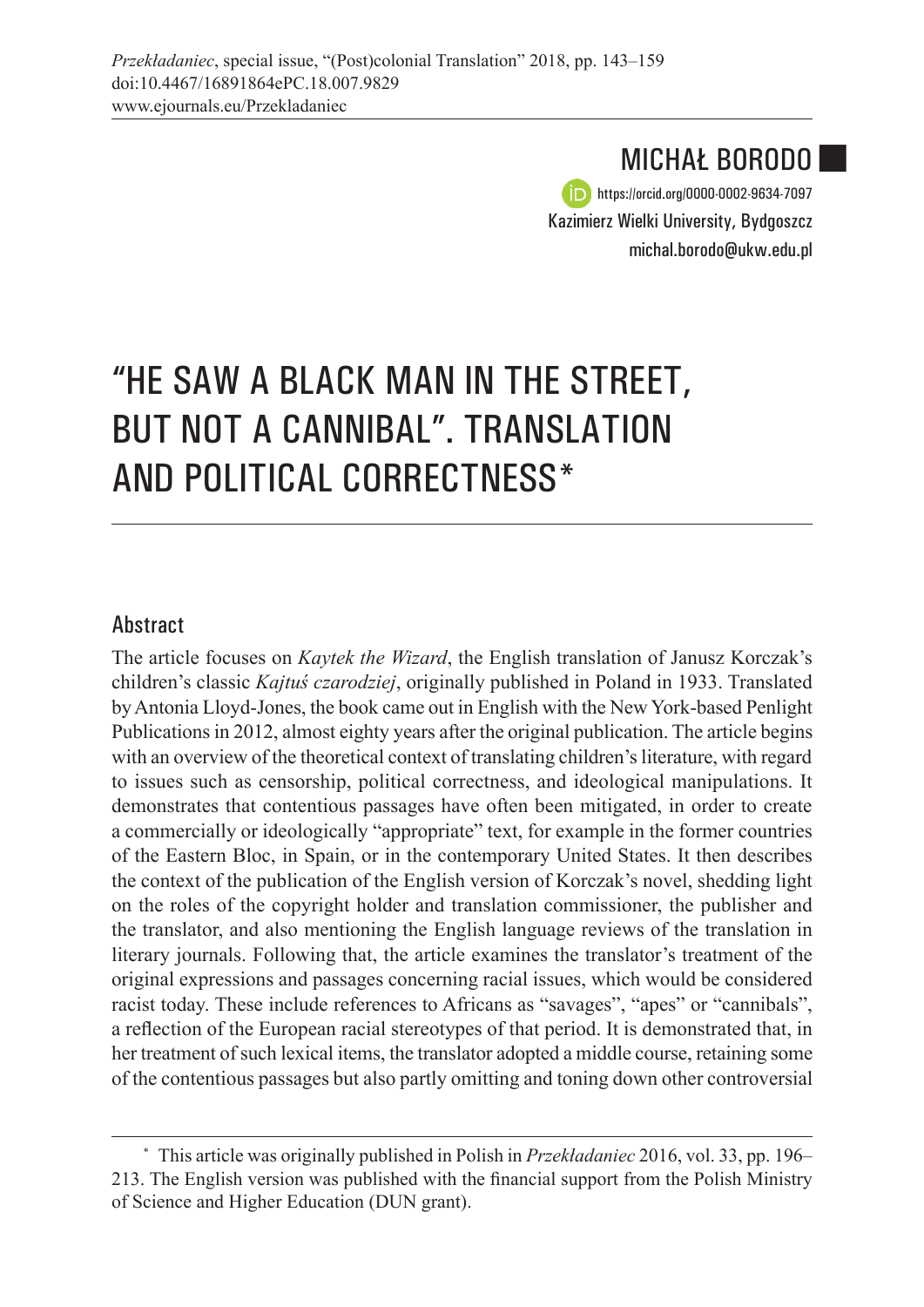MICHAŁ BORODO https://orcid.org/0000-0002-9634-7097 Kazimierz Wielki University, Bydgoszcz michal.borodo@ukw.edu.pl

■

# "HE SAW A BLACK MAN IN THE STREET, BUT NOT A CANNIBAL". TRANSLATION AND POLITICAL CORRECTNESS\*

#### Abstract

The article focuses on *Kaytek the Wizard*, the English translation of Janusz Korczak's children's classic *Kajtuś czarodziej*, originally published in Poland in 1933. Translated by Antonia Lloyd-Jones, the book came out in English with the New York-based Penlight Publications in 2012, almost eighty years after the original publication. The article begins with an overview of the theoretical context of translating children's literature, with regard to issues such as censorship, political correctness, and ideological manipulations. It demonstrates that contentious passages have often been mitigated, in order to create a commercially or ideologically "appropriate" text, for example in the former countries of the Eastern Bloc, in Spain, or in the contemporary United States. It then describes the context of the publication of the English version of Korczak's novel, shedding light on the roles of the copyright holder and translation commissioner, the publisher and the translator, and also mentioning the English language reviews of the translation in literary journals. Following that, the article examines the translator's treatment of the original expressions and passages concerning racial issues, which would be considered racist today. These include references to Africans as "savages", "apes" or "cannibals", a reflection of the European racial stereotypes of that period. It is demonstrated that, in her treatment of such lexical items, the translator adopted a middle course, retaining some of the contentious passages but also partly omitting and toning down other controversial

<sup>\*</sup> This article was originally published in Polish in *Przekładaniec* 2016, vol. 33, pp. 196– 213. The English version was published with the financial support from the Polish Ministry of Science and Higher Education (DUN grant).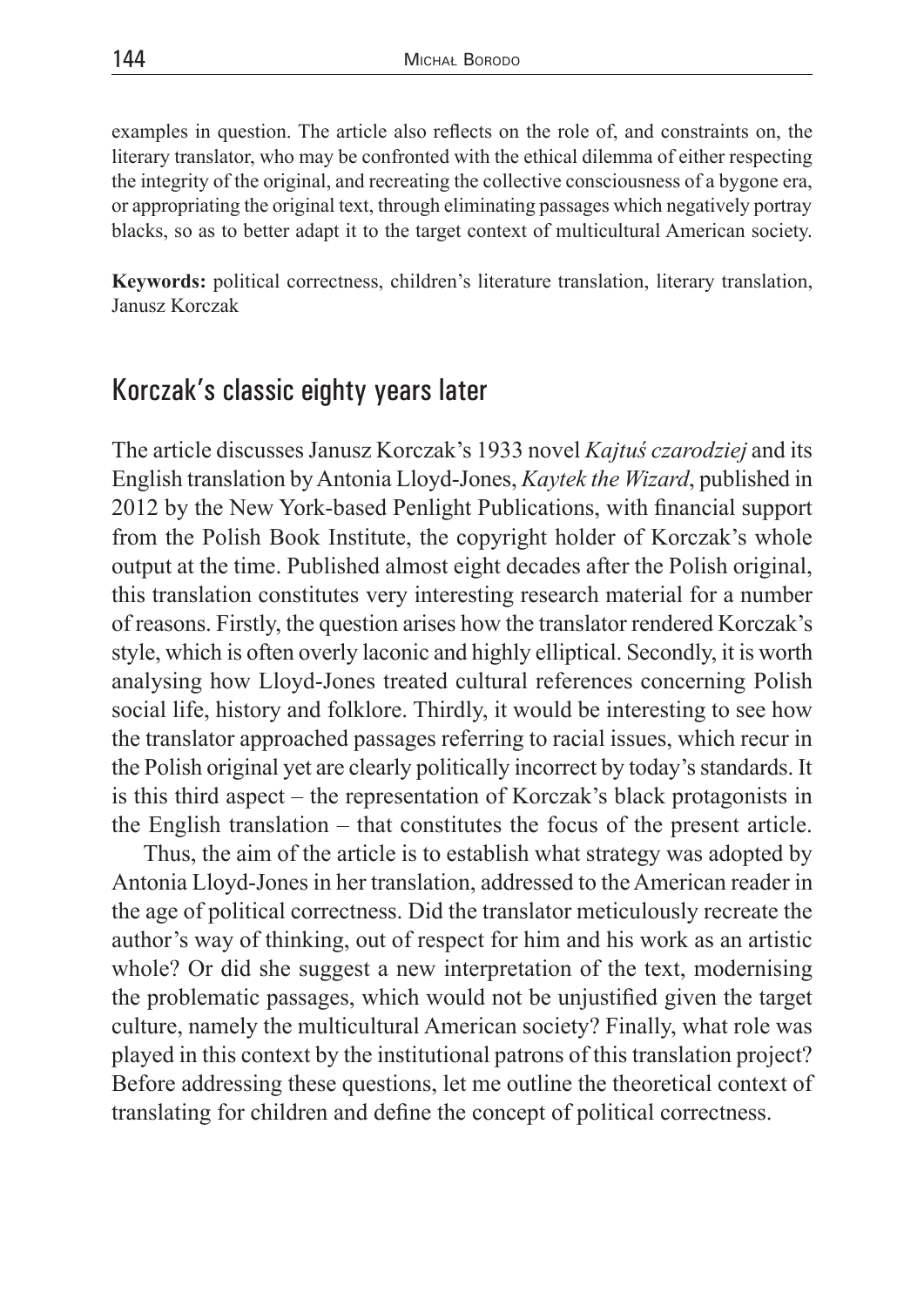examples in question. The article also reflects on the role of, and constraints on, the literary translator, who may be confronted with the ethical dilemma of either respecting the integrity of the original, and recreating the collective consciousness of a bygone era, or appropriating the original text, through eliminating passages which negatively portray blacks, so as to better adapt it to the target context of multicultural American society.

**Keywords:** political correctness, children's literature translation, literary translation, Janusz Korczak

#### Korczak's classic eighty years later

The article discusses Janusz Korczak's 1933 novel *Kajtuś czarodziej* and its English translation by Antonia Lloyd-Jones, *Kaytek the Wizard*, published in 2012 by the New York-based Penlight Publications, with financial support from the Polish Book Institute, the copyright holder of Korczak's whole output at the time. Published almost eight decades after the Polish original, this translation constitutes very interesting research material for a number of reasons. Firstly, the question arises how the translator rendered Korczak's style, which is often overly laconic and highly elliptical. Secondly, it is worth analysing how Lloyd-Jones treated cultural references concerning Polish social life, history and folklore. Thirdly, it would be interesting to see how the translator approached passages referring to racial issues, which recur in the Polish original yet are clearly politically incorrect by today's standards. It is this third aspect – the representation of Korczak's black protagonists in the English translation – that constitutes the focus of the present article.

Thus, the aim of the article is to establish what strategy was adopted by Antonia Lloyd-Jones in her translation, addressed to the American reader in the age of political correctness. Did the translator meticulously recreate the author's way of thinking, out of respect for him and his work as an artistic whole? Or did she suggest a new interpretation of the text, modernising the problematic passages, which would not be unjustified given the target culture, namely the multicultural American society? Finally, what role was played in this context by the institutional patrons of this translation project? Before addressing these questions, let me outline the theoretical context of translating for children and define the concept of political correctness.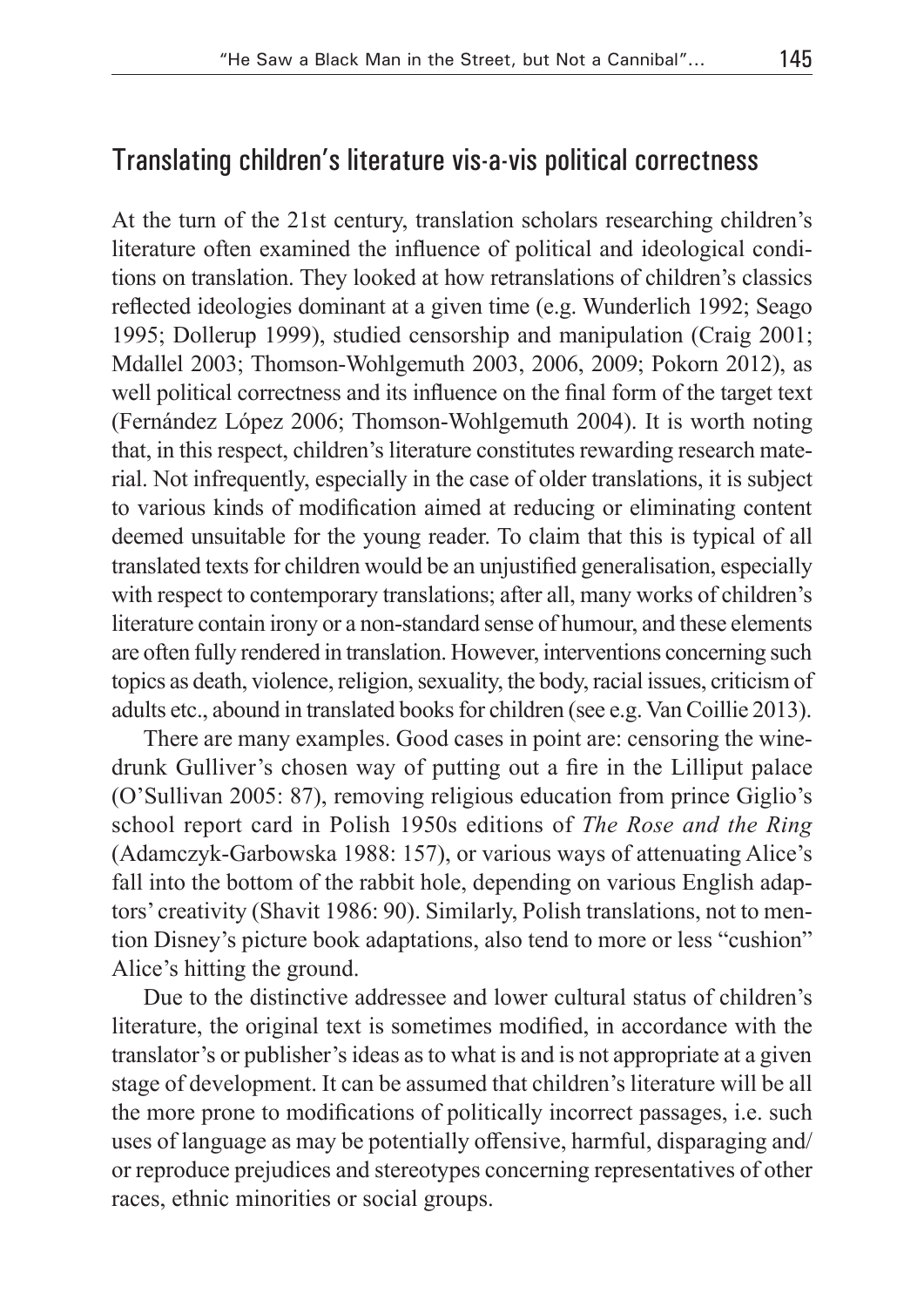#### Translating children's literature vis-a-vis political correctness

At the turn of the 21st century, translation scholars researching children's literature often examined the influence of political and ideological conditions on translation. They looked at how retranslations of children's classics reflected ideologies dominant at a given time (e.g. Wunderlich 1992; Seago 1995; Dollerup 1999), studied censorship and manipulation (Craig 2001; Mdallel 2003; Thomson-Wohlgemuth 2003, 2006, 2009; Pokorn 2012), as well political correctness and its influence on the final form of the target text (Fernández López 2006; Thomson-Wohlgemuth 2004). It is worth noting that, in this respect, children's literature constitutes rewarding research material. Not infrequently, especially in the case of older translations, it is subject to various kinds of modification aimed at reducing or eliminating content deemed unsuitable for the young reader. To claim that this is typical of all translated texts for children would be an unjustified generalisation, especially with respect to contemporary translations; after all, many works of children's literature contain irony or a non-standard sense of humour, and these elements are often fully rendered in translation. However, interventions concerning such topics as death, violence, religion, sexuality, the body, racial issues, criticism of adults etc., abound in translated books for children (see e.g. Van Coillie 2013).

There are many examples. Good cases in point are: censoring the winedrunk Gulliver's chosen way of putting out a fire in the Lilliput palace (O'Sullivan 2005: 87), removing religious education from prince Giglio's school report card in Polish 1950s editions of *The Rose and the Ring*  (Adamczyk-Garbowska 1988: 157), or various ways of attenuating Alice's fall into the bottom of the rabbit hole, depending on various English adaptors' creativity (Shavit 1986: 90). Similarly, Polish translations, not to mention Disney's picture book adaptations, also tend to more or less "cushion" Alice's hitting the ground.

Due to the distinctive addressee and lower cultural status of children's literature, the original text is sometimes modified, in accordance with the translator's or publisher's ideas as to what is and is not appropriate at a given stage of development. It can be assumed that children's literature will be all the more prone to modifications of politically incorrect passages, i.e. such uses of language as may be potentially offensive, harmful, disparaging and/ or reproduce prejudices and stereotypes concerning representatives of other races, ethnic minorities or social groups.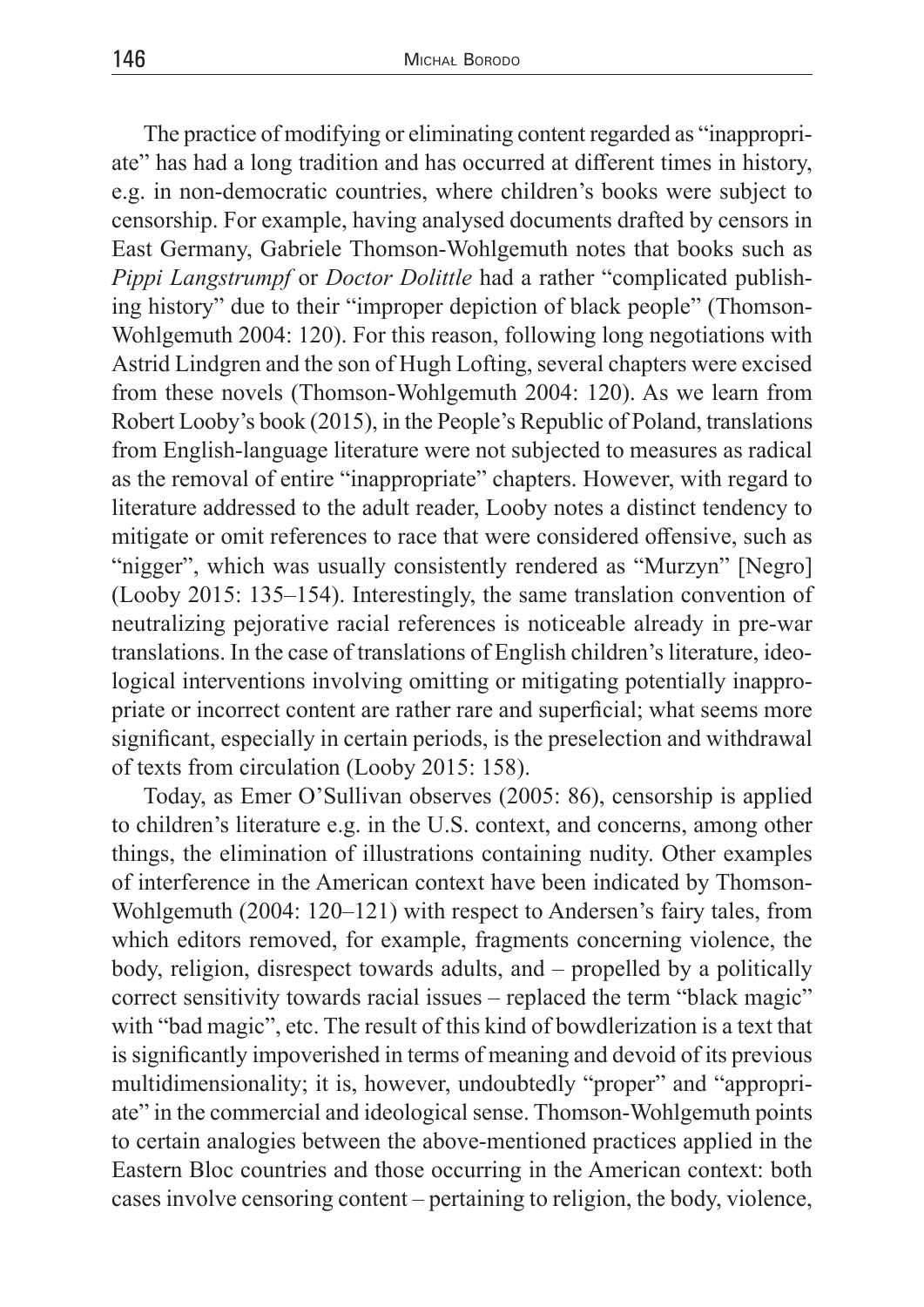The practice of modifying or eliminating content regarded as "inappropriate" has had a long tradition and has occurred at different times in history, e.g. in non-democratic countries, where children's books were subject to censorship. For example, having analysed documents drafted by censors in East Germany, Gabriele Thomson-Wohlgemuth notes that books such as *Pippi Langstrumpf* or *Doctor Dolittle* had a rather "complicated publishing history" due to their "improper depiction of black people" (Thomson-Wohlgemuth 2004: 120). For this reason, following long negotiations with Astrid Lindgren and the son of Hugh Lofting, several chapters were excised from these novels (Thomson-Wohlgemuth 2004: 120). As we learn from Robert Looby's book (2015), in the People's Republic of Poland, translations from English-language literature were not subjected to measures as radical as the removal of entire "inappropriate" chapters. However, with regard to literature addressed to the adult reader, Looby notes a distinct tendency to mitigate or omit references to race that were considered offensive, such as "nigger", which was usually consistently rendered as "Murzyn" [Negro] (Looby 2015: 135–154). Interestingly, the same translation convention of neutralizing pejorative racial references is noticeable already in pre-war translations. In the case of translations of English children's literature, ideological interventions involving omitting or mitigating potentially inappropriate or incorrect content are rather rare and superficial; what seems more significant, especially in certain periods, is the preselection and withdrawal of texts from circulation (Looby 2015: 158).

Today, as Emer O'Sullivan observes (2005: 86), censorship is applied to children's literature e.g. in the U.S. context, and concerns, among other things, the elimination of illustrations containing nudity. Other examples of interference in the American context have been indicated by Thomson-Wohlgemuth (2004: 120–121) with respect to Andersen's fairy tales, from which editors removed, for example, fragments concerning violence, the body, religion, disrespect towards adults, and – propelled by a politically correct sensitivity towards racial issues – replaced the term "black magic" with "bad magic", etc. The result of this kind of bowdlerization is a text that is significantly impoverished in terms of meaning and devoid of its previous multidimensionality; it is, however, undoubtedly "proper" and "appropriate" in the commercial and ideological sense. Thomson-Wohlgemuth points to certain analogies between the above-mentioned practices applied in the Eastern Bloc countries and those occurring in the American context: both cases involve censoring content – pertaining to religion, the body, violence,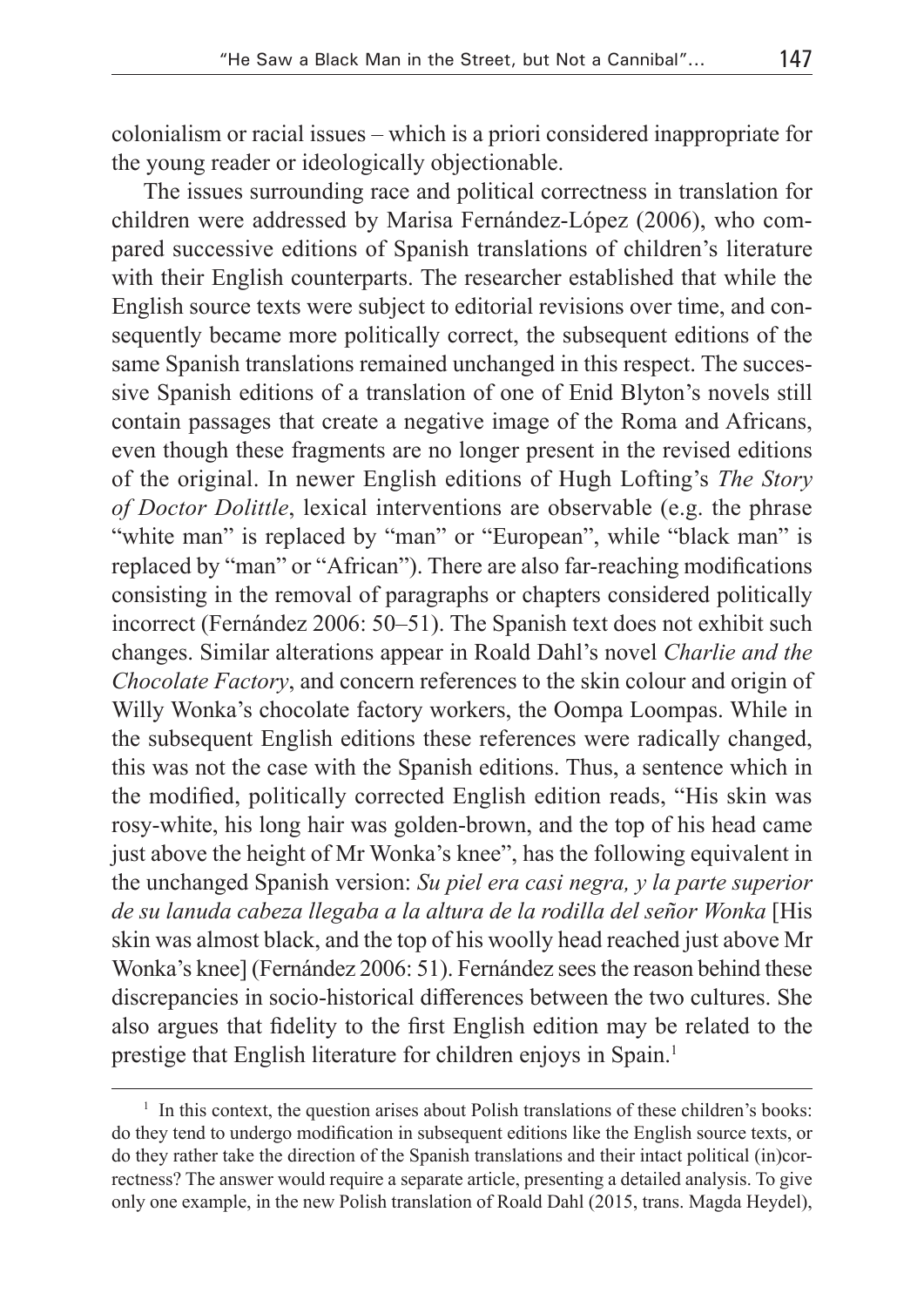colonialism or racial issues – which is a priori considered inappropriate for the young reader or ideologically objectionable.

The issues surrounding race and political correctness in translation for children were addressed by Marisa Fernández-López (2006), who compared successive editions of Spanish translations of children's literature with their English counterparts. The researcher established that while the English source texts were subject to editorial revisions over time, and consequently became more politically correct, the subsequent editions of the same Spanish translations remained unchanged in this respect. The successive Spanish editions of a translation of one of Enid Blyton's novels still contain passages that create a negative image of the Roma and Africans, even though these fragments are no longer present in the revised editions of the original. In newer English editions of Hugh Lofting's *The Story of Doctor Dolittle*, lexical interventions are observable (e.g. the phrase "white man" is replaced by "man" or "European", while "black man" is replaced by "man" or "African"). There are also far-reaching modifications consisting in the removal of paragraphs or chapters considered politically incorrect (Fernández 2006: 50–51). The Spanish text does not exhibit such changes. Similar alterations appear in Roald Dahl's novel *Charlie and the Chocolate Factory*, and concern references to the skin colour and origin of Willy Wonka's chocolate factory workers, the Oompa Loompas. While in the subsequent English editions these references were radically changed, this was not the case with the Spanish editions. Thus, a sentence which in the modified, politically corrected English edition reads, "His skin was rosy-white, his long hair was golden-brown, and the top of his head came just above the height of Mr Wonka's knee", has the following equivalent in the unchanged Spanish version: *Su piel era casi negra, y la parte superior de su lanuda cabeza llegaba a la altura de la rodilla del señor Wonka* [His skin was almost black, and the top of his woolly head reached just above Mr Wonka's knee] (Fernández 2006: 51). Fernández sees the reason behind these discrepancies in socio-historical differences between the two cultures. She also argues that fidelity to the first English edition may be related to the prestige that English literature for children enjoys in Spain.<sup>1</sup>

 $<sup>1</sup>$  In this context, the question arises about Polish translations of these children's books:</sup> do they tend to undergo modification in subsequent editions like the English source texts, or do they rather take the direction of the Spanish translations and their intact political (in)correctness? The answer would require a separate article, presenting a detailed analysis. To give only one example, in the new Polish translation of Roald Dahl (2015, trans. Magda Heydel),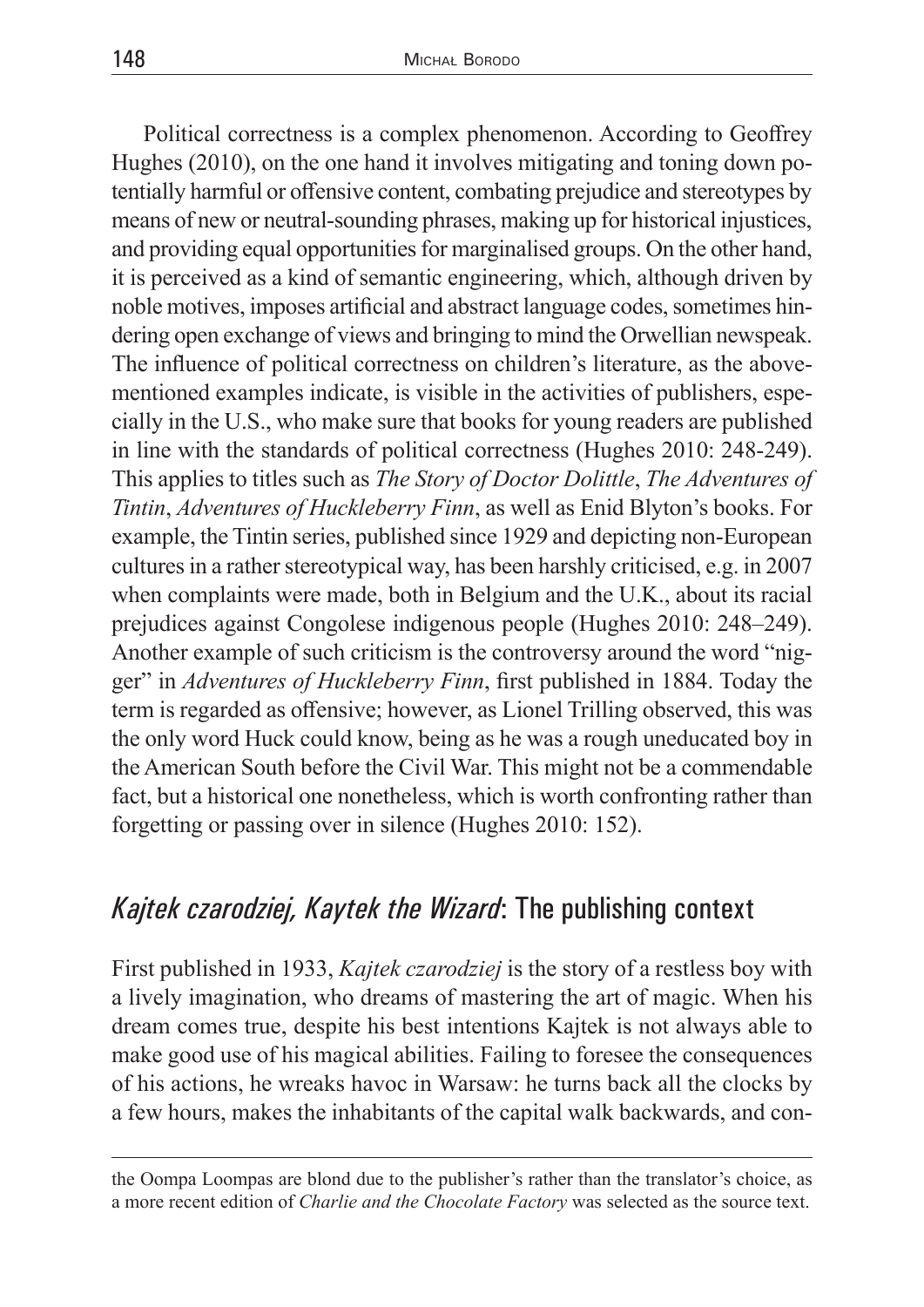Political correctness is a complex phenomenon. According to Geoffrey Hughes (2010), on the one hand it involves mitigating and toning down potentially harmful or offensive content, combating prejudice and stereotypes by means of new or neutral-sounding phrases, making up for historical injustices, and providing equal opportunities for marginalised groups. On the other hand, it is perceived as a kind of semantic engineering, which, although driven by noble motives, imposes artificial and abstract language codes, sometimes hindering open exchange of views and bringing to mind the Orwellian newspeak. The influence of political correctness on children's literature, as the abovementioned examples indicate, is visible in the activities of publishers, especially in the U.S., who make sure that books for young readers are published in line with the standards of political correctness (Hughes 2010: 248-249). This applies to titles such as *The Story of Doctor Dolittle*, *The Adventures of Tintin*, *Adventures of Huckleberry Finn*, as well as Enid Blyton's books. For example, the Tintin series, published since 1929 and depicting non-European cultures in a rather stereotypical way, has been harshly criticised, e.g. in 2007 when complaints were made, both in Belgium and the U.K., about its racial prejudices against Congolese indigenous people (Hughes 2010: 248–249). Another example of such criticism is the controversy around the word "nigger" in *Adventures of Huckleberry Finn*, first published in 1884. Today the term is regarded as offensive; however, as Lionel Trilling observed, this was the only word Huck could know, being as he was a rough uneducated boy in the American South before the Civil War. This might not be a commendable fact, but a historical one nonetheless, which is worth confronting rather than forgetting or passing over in silence (Hughes 2010: 152).

# *Kajtek czarodziej, Kaytek the Wizard*: The publishing context

First published in 1933, *Kajtek czarodziej* is the story of a restless boy with a lively imagination, who dreams of mastering the art of magic. When his dream comes true, despite his best intentions Kajtek is not always able to make good use of his magical abilities. Failing to foresee the consequences of his actions, he wreaks havoc in Warsaw: he turns back all the clocks by a few hours, makes the inhabitants of the capital walk backwards, and con-

the Oompa Loompas are blond due to the publisher's rather than the translator's choice, as a more recent edition of *Charlie and the Chocolate Factory* was selected as the source text.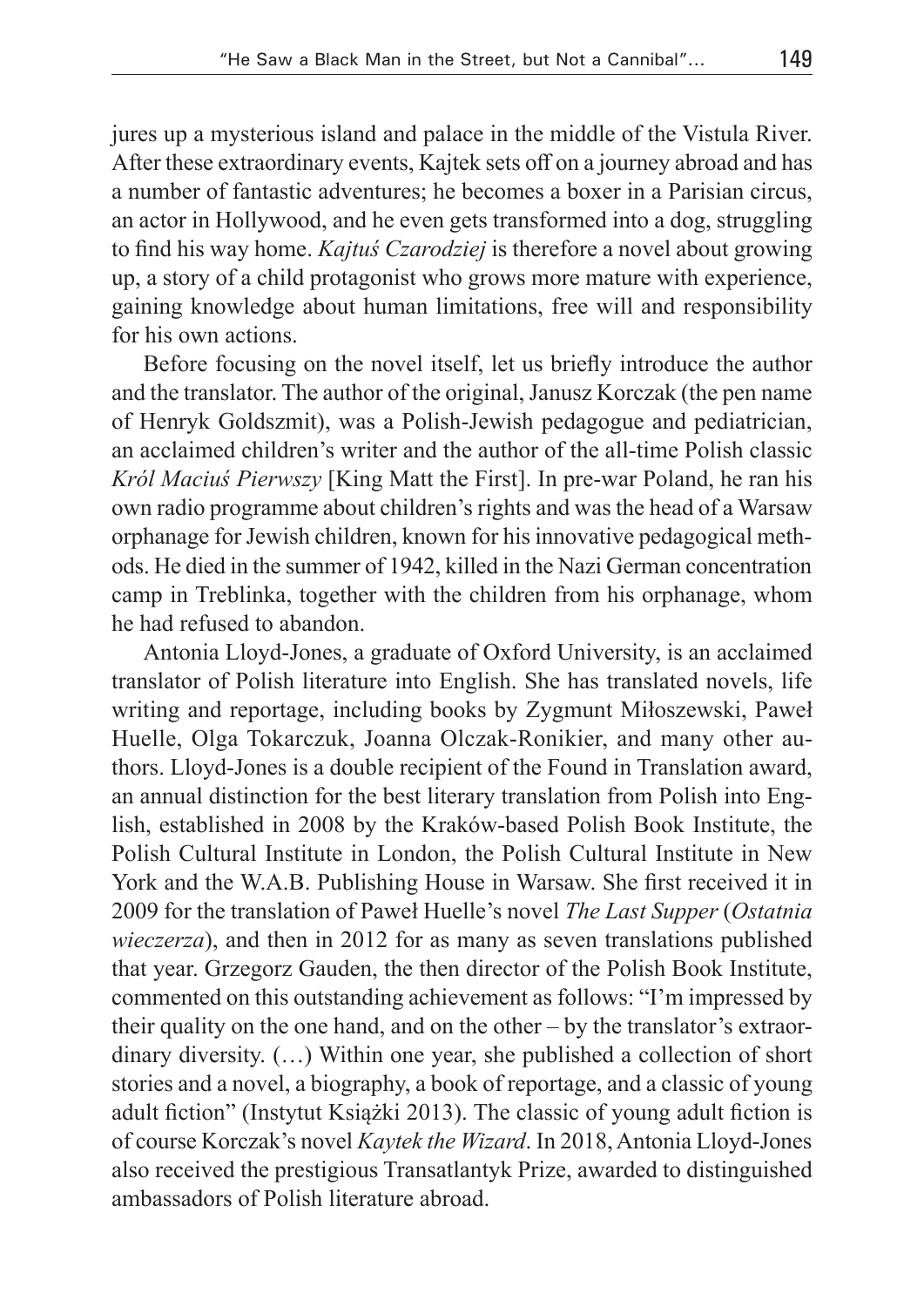jures up a mysterious island and palace in the middle of the Vistula River. After these extraordinary events, Kajtek sets off on a journey abroad and has a number of fantastic adventures; he becomes a boxer in a Parisian circus, an actor in Hollywood, and he even gets transformed into a dog, struggling to find his way home. *Kajtuś Czarodziej* is therefore a novel about growing up, a story of a child protagonist who grows more mature with experience, gaining knowledge about human limitations, free will and responsibility for his own actions.

Before focusing on the novel itself, let us briefly introduce the author and the translator. The author of the original, Janusz Korczak (the pen name of Henryk Goldszmit), was a Polish-Jewish pedagogue and pediatrician, an acclaimed children's writer and the author of the all-time Polish classic *Król Maciuś Pierwszy* [King Matt the First]. In pre-war Poland, he ran his own radio programme about children's rights and was the head of a Warsaw orphanage for Jewish children, known for his innovative pedagogical methods. He died in the summer of 1942, killed in the Nazi German concentration camp in Treblinka, together with the children from his orphanage, whom he had refused to abandon.

Antonia Lloyd-Jones, a graduate of Oxford University, is an acclaimed translator of Polish literature into English. She has translated novels, life writing and reportage, including books by Zygmunt Miłoszewski, Paweł Huelle, Olga Tokarczuk, Joanna Olczak-Ronikier, and many other authors. Lloyd-Jones is a double recipient of the Found in Translation award, an annual distinction for the best literary translation from Polish into English, established in 2008 by the Kraków-based Polish Book Institute, the Polish Cultural Institute in London, the Polish Cultural Institute in New York and the W.A.B. Publishing House in Warsaw. She first received it in 2009 for the translation of Paweł Huelle's novel *The Last Supper* (*Ostatnia wieczerza*), and then in 2012 for as many as seven translations published that year. Grzegorz Gauden, the then director of the Polish Book Institute, commented on this outstanding achievement as follows: "I'm impressed by their quality on the one hand, and on the other – by the translator's extraordinary diversity. (…) Within one year, she published a collection of short stories and a novel, a biography, a book of reportage, and a classic of young adult fiction" (Instytut Książki 2013). The classic of young adult fiction is of course Korczak's novel *Kaytek the Wizard*. In 2018, Antonia Lloyd-Jones also received the prestigious Transatlantyk Prize, awarded to distinguished ambassadors of Polish literature abroad.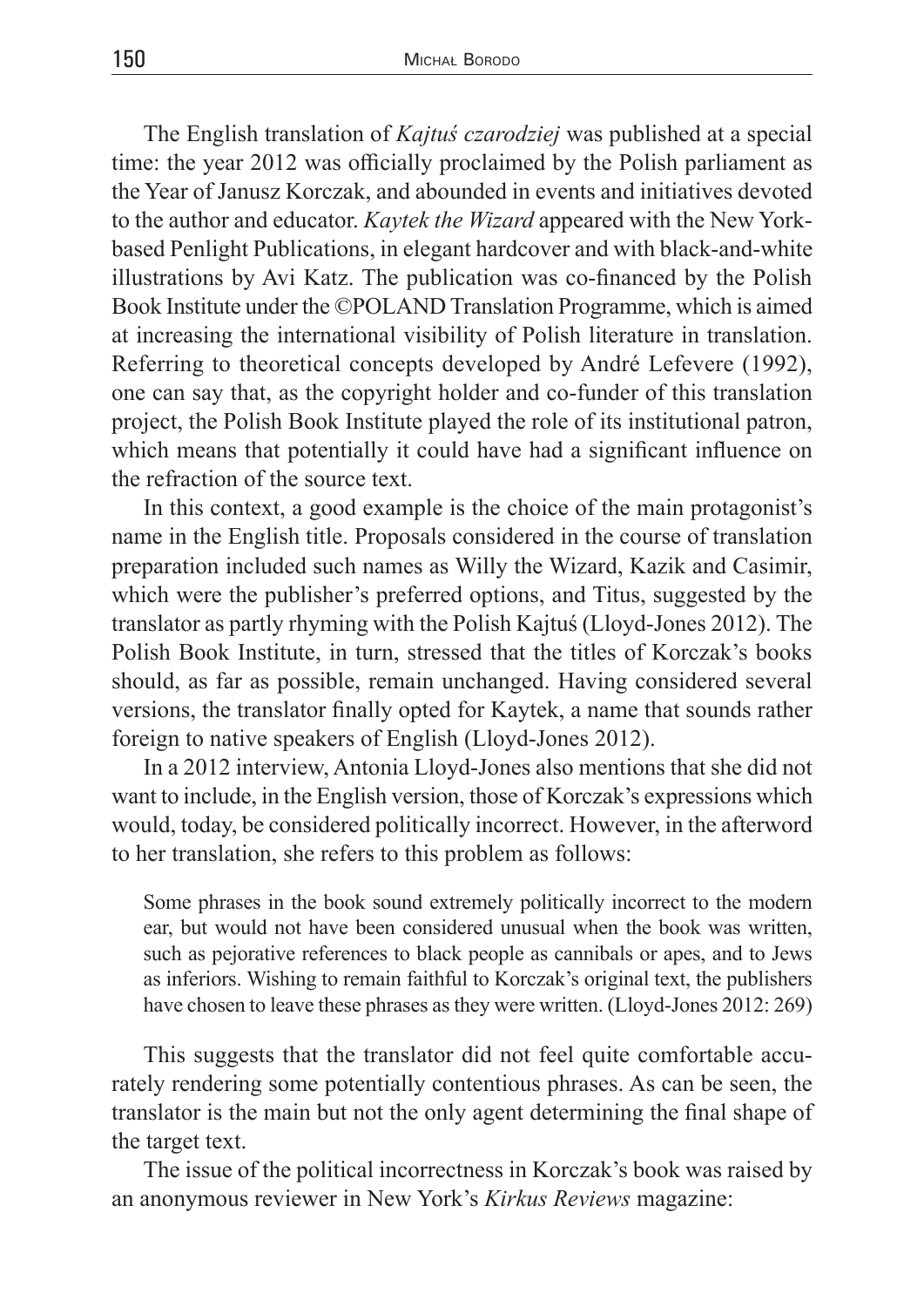The English translation of *Kajtuś czarodziej* was published at a special time: the year 2012 was officially proclaimed by the Polish parliament as the Year of Janusz Korczak, and abounded in events and initiatives devoted to the author and educator. *Kaytek the Wizard* appeared with the New Yorkbased Penlight Publications, in elegant hardcover and with black-and-white illustrations by Avi Katz. The publication was co-financed by the Polish Book Institute under the ©POLAND Translation Programme, which is aimed at increasing the international visibility of Polish literature in translation. Referring to theoretical concepts developed by André Lefevere (1992), one can say that, as the copyright holder and co-funder of this translation project, the Polish Book Institute played the role of its institutional patron, which means that potentially it could have had a significant influence on the refraction of the source text.

In this context, a good example is the choice of the main protagonist's name in the English title. Proposals considered in the course of translation preparation included such names as Willy the Wizard, Kazik and Casimir, which were the publisher's preferred options, and Titus, suggested by the translator as partly rhyming with the Polish Kajtuś (Lloyd-Jones 2012). The Polish Book Institute, in turn, stressed that the titles of Korczak's books should, as far as possible, remain unchanged. Having considered several versions, the translator finally opted for Kaytek, a name that sounds rather foreign to native speakers of English (Lloyd-Jones 2012).

In a 2012 interview, Antonia Lloyd-Jones also mentions that she did not want to include, in the English version, those of Korczak's expressions which would, today, be considered politically incorrect. However, in the afterword to her translation, she refers to this problem as follows:

Some phrases in the book sound extremely politically incorrect to the modern ear, but would not have been considered unusual when the book was written, such as pejorative references to black people as cannibals or apes, and to Jews as inferiors. Wishing to remain faithful to Korczak's original text, the publishers have chosen to leave these phrases as they were written. (Lloyd-Jones 2012: 269)

This suggests that the translator did not feel quite comfortable accurately rendering some potentially contentious phrases. As can be seen, the translator is the main but not the only agent determining the final shape of the target text.

The issue of the political incorrectness in Korczak's book was raised by an anonymous reviewer in New York's *Kirkus Reviews* magazine: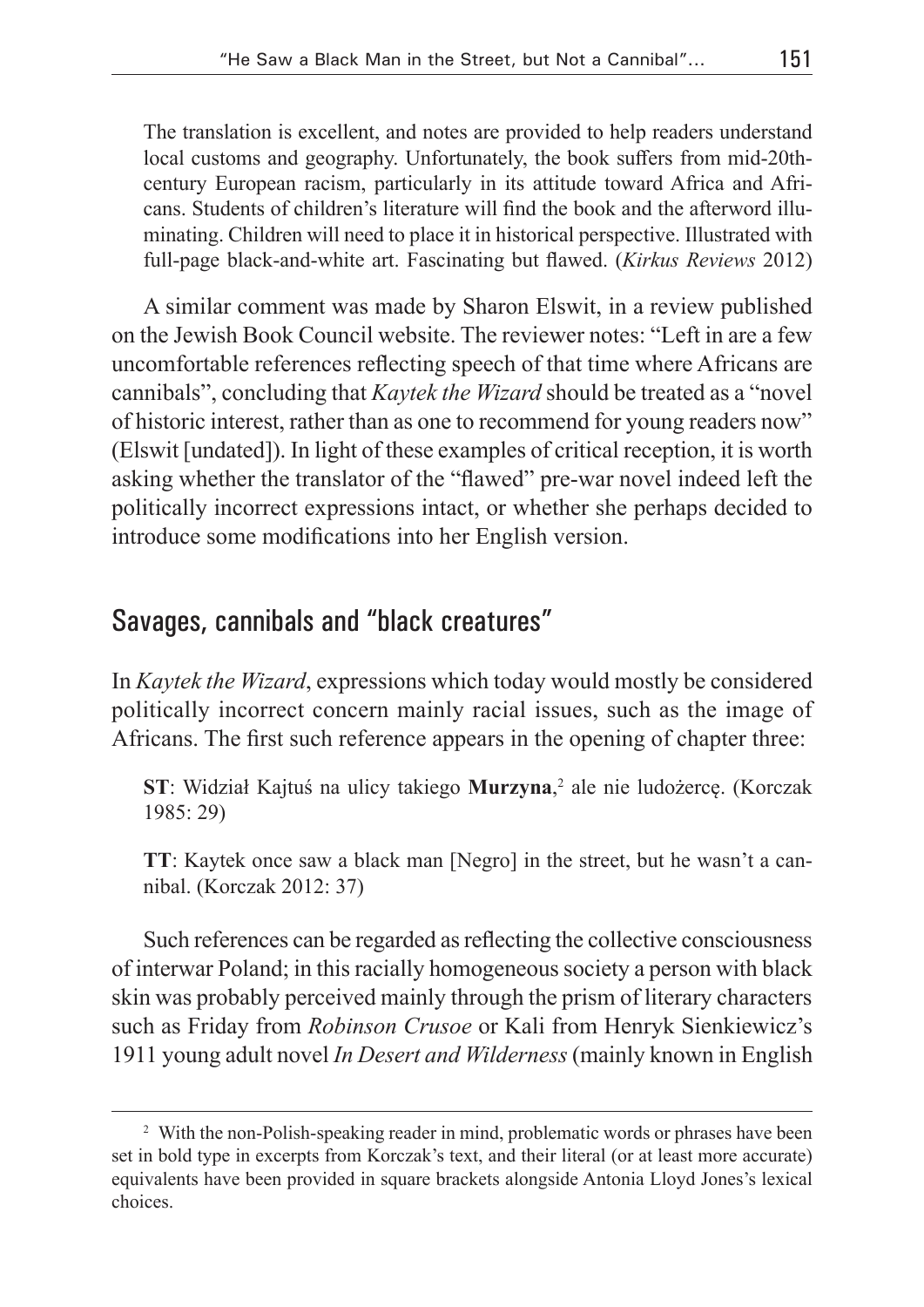The translation is excellent, and notes are provided to help readers understand local customs and geography. Unfortunately, the book suffers from mid-20thcentury European racism, particularly in its attitude toward Africa and Africans. Students of children's literature will find the book and the afterword illuminating. Children will need to place it in historical perspective. Illustrated with full-page black-and-white art. Fascinating but flawed. (*Kirkus Reviews* 2012)

A similar comment was made by Sharon Elswit, in a review published on the Jewish Book Council website. The reviewer notes: "Left in are a few uncomfortable references reflecting speech of that time where Africans are cannibals", concluding that *Kaytek the Wizard* should be treated as a "novel of historic interest, rather than as one to recommend for young readers now" (Elswit [undated]). In light of these examples of critical reception, it is worth asking whether the translator of the "flawed" pre-war novel indeed left the politically incorrect expressions intact, or whether she perhaps decided to introduce some modifications into her English version.

# Savages, cannibals and "black creatures"

In *Kaytek the Wizard*, expressions which today would mostly be considered politically incorrect concern mainly racial issues, such as the image of Africans. The first such reference appears in the opening of chapter three:

**ST**: Widział Kajtuś na ulicy takiego **Murzyna**, 2 ale nie ludożercę. (Korczak 1985: 29)

**TT**: Kaytek once saw a black man [Negro] in the street, but he wasn't a cannibal. (Korczak 2012: 37)

Such references can be regarded as reflecting the collective consciousness of interwar Poland; in this racially homogeneous society a person with black skin was probably perceived mainly through the prism of literary characters such as Friday from *Robinson Crusoe* or Kali from Henryk Sienkiewicz's 1911 young adult novel *In Desert and Wilderness* (mainly known in English

<sup>&</sup>lt;sup>2</sup> With the non-Polish-speaking reader in mind, problematic words or phrases have been set in bold type in excerpts from Korczak's text, and their literal (or at least more accurate) equivalents have been provided in square brackets alongside Antonia Lloyd Jones's lexical choices.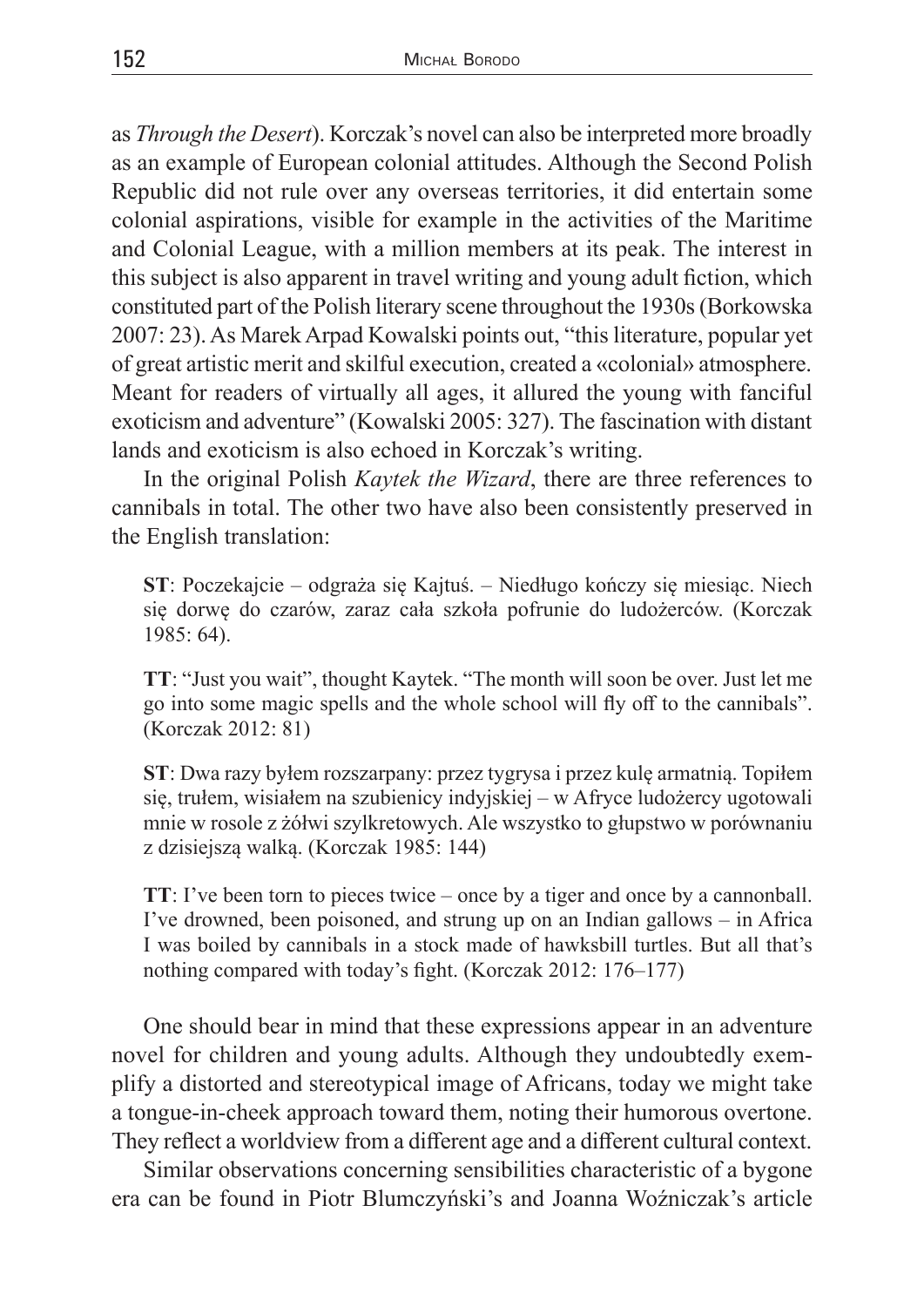as *Through the Desert*). Korczak's novel can also be interpreted more broadly as an example of European colonial attitudes. Although the Second Polish Republic did not rule over any overseas territories, it did entertain some colonial aspirations, visible for example in the activities of the Maritime and Colonial League, with a million members at its peak. The interest in this subject is also apparent in travel writing and young adult fiction, which constituted part of the Polish literary scene throughout the 1930s (Borkowska 2007: 23). As Marek Arpad Kowalski points out, "this literature, popular yet of great artistic merit and skilful execution, created a «colonial» atmosphere. Meant for readers of virtually all ages, it allured the young with fanciful exoticism and adventure" (Kowalski 2005: 327). The fascination with distant lands and exoticism is also echoed in Korczak's writing.

In the original Polish *Kaytek the Wizard*, there are three references to cannibals in total. The other two have also been consistently preserved in the English translation:

**ST**: Poczekajcie – odgraża się Kajtuś. – Niedługo kończy się miesiąc. Niech się dorwę do czarów, zaraz cała szkoła pofrunie do ludożerców. (Korczak 1985: 64).

**TT**: "Just you wait", thought Kaytek. "The month will soon be over. Just let me go into some magic spells and the whole school will fly off to the cannibals". (Korczak 2012: 81)

**ST**: Dwa razy byłem rozszarpany: przez tygrysa i przez kulę armatnią. Topiłem się, trułem, wisiałem na szubienicy indyjskiej – w Afryce ludożercy ugotowali mnie w rosole z żółwi szylkretowych. Ale wszystko to głupstwo w porównaniu z dzisiejszą walką. (Korczak 1985: 144)

**TT**: I've been torn to pieces twice – once by a tiger and once by a cannonball. I've drowned, been poisoned, and strung up on an Indian gallows – in Africa I was boiled by cannibals in a stock made of hawksbill turtles. But all that's nothing compared with today's fight. (Korczak 2012: 176–177)

One should bear in mind that these expressions appear in an adventure novel for children and young adults. Although they undoubtedly exemplify a distorted and stereotypical image of Africans, today we might take a tongue-in-cheek approach toward them, noting their humorous overtone. They reflect a worldview from a different age and a different cultural context.

Similar observations concerning sensibilities characteristic of a bygone era can be found in Piotr Blumczyński's and Joanna Woźniczak's article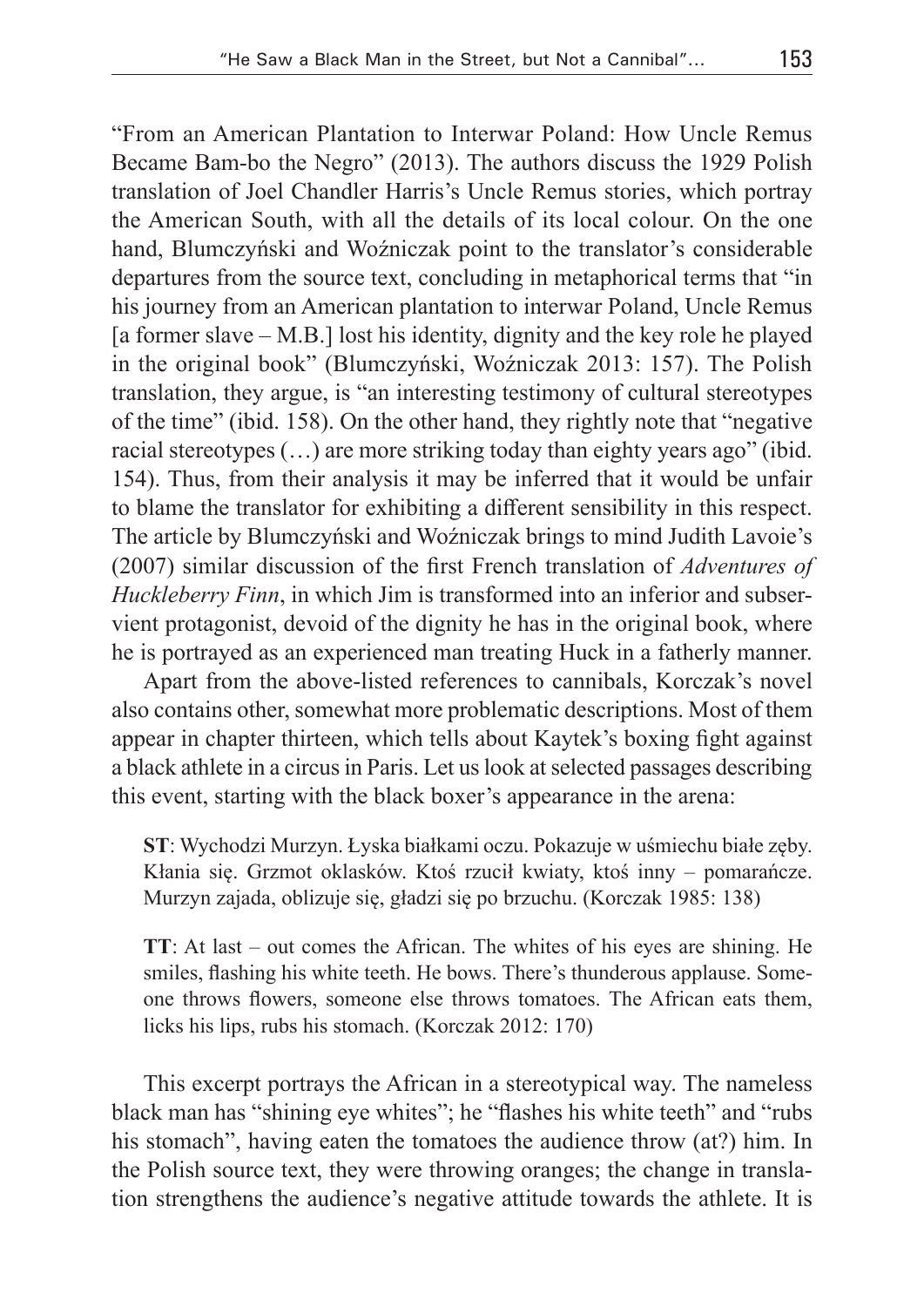"From an American Plantation to Interwar Poland: How Uncle Remus Became Bam-bo the Negro" (2013). The authors discuss the 1929 Polish translation of Joel Chandler Harris's Uncle Remus stories, which portray the American South, with all the details of its local colour. On the one hand, Blumczyński and Woźniczak point to the translator's considerable departures from the source text, concluding in metaphorical terms that "in his journey from an American plantation to interwar Poland, Uncle Remus [a former slave – M.B.] lost his identity, dignity and the key role he played in the original book" (Blumczyński, Woźniczak 2013: 157). The Polish translation, they argue, is "an interesting testimony of cultural stereotypes of the time" (ibid. 158). On the other hand, they rightly note that "negative racial stereotypes (…) are more striking today than eighty years ago" (ibid. 154). Thus, from their analysis it may be inferred that it would be unfair to blame the translator for exhibiting a different sensibility in this respect. The article by Blumczyński and Woźniczak brings to mind Judith Lavoie's (2007) similar discussion of the first French translation of *Adventures of Huckleberry Finn*, in which Jim is transformed into an inferior and subservient protagonist, devoid of the dignity he has in the original book, where he is portrayed as an experienced man treating Huck in a fatherly manner.

Apart from the above-listed references to cannibals, Korczak's novel also contains other, somewhat more problematic descriptions. Most of them appear in chapter thirteen, which tells about Kaytek's boxing fight against a black athlete in a circus in Paris. Let us look at selected passages describing this event, starting with the black boxer's appearance in the arena:

**ST**: Wychodzi Murzyn. Łyska białkami oczu. Pokazuje w uśmiechu białe zęby. Kłania się. Grzmot oklasków. Ktoś rzucił kwiaty, ktoś inny – pomarańcze. Murzyn zajada, oblizuje się, gładzi się po brzuchu. (Korczak 1985: 138)

**TT**: At last – out comes the African. The whites of his eyes are shining. He smiles, flashing his white teeth. He bows. There's thunderous applause. Someone throws flowers, someone else throws tomatoes. The African eats them, licks his lips, rubs his stomach. (Korczak 2012: 170)

This excerpt portrays the African in a stereotypical way. The nameless black man has "shining eye whites"; he "flashes his white teeth" and "rubs his stomach", having eaten the tomatoes the audience throw (at?) him. In the Polish source text, they were throwing oranges; the change in translation strengthens the audience's negative attitude towards the athlete. It is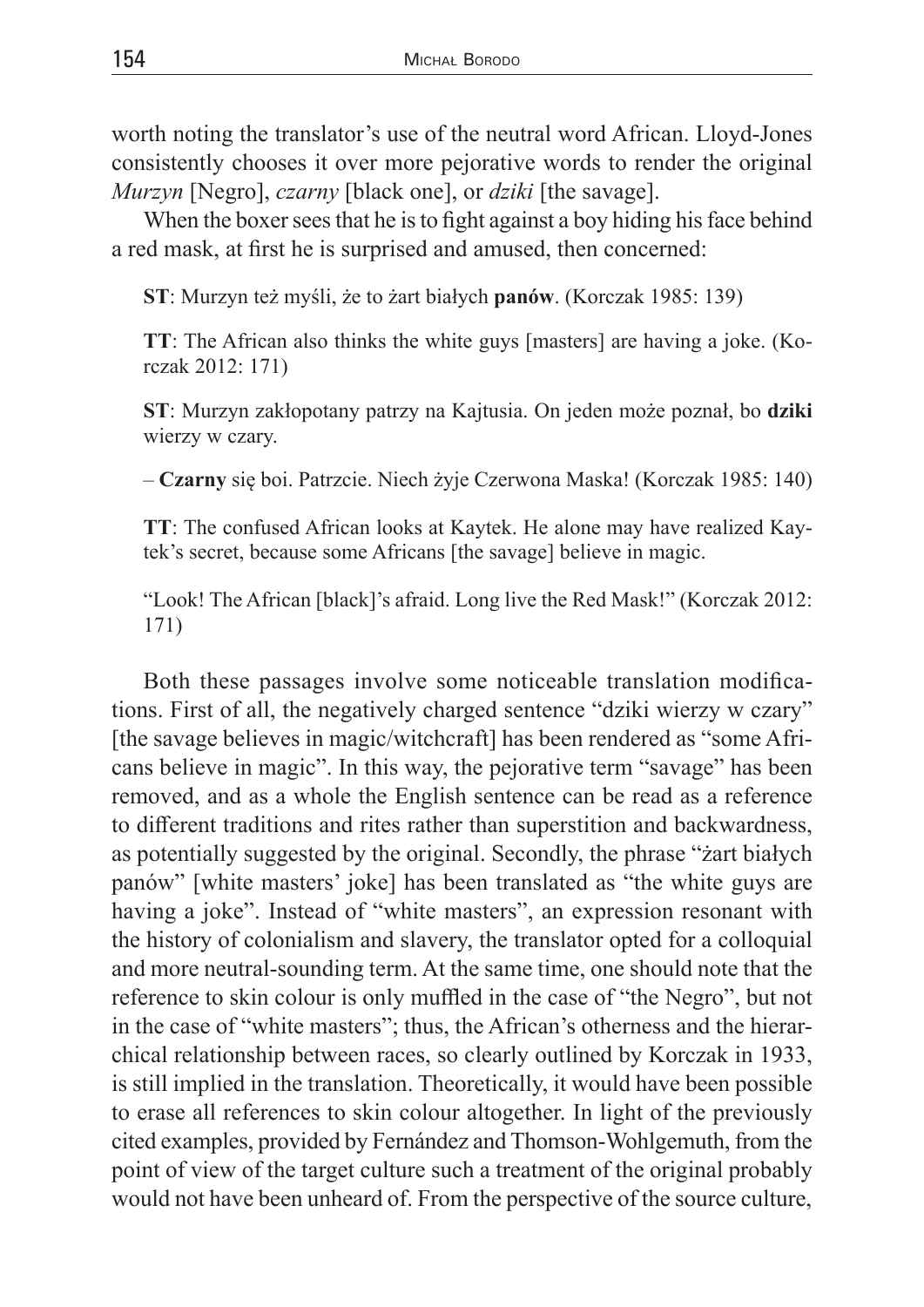worth noting the translator's use of the neutral word African. Lloyd-Jones consistently chooses it over more pejorative words to render the original *Murzyn* [Negro], *czarny* [black one], or *dziki* [the savage].

When the boxer sees that he is to fight against a boy hiding his face behind a red mask, at first he is surprised and amused, then concerned:

**ST**: Murzyn też myśli, że to żart białych **panów**. (Korczak 1985: 139)

**TT**: The African also thinks the white guys [masters] are having a joke. (Korczak 2012: 171)

**ST**: Murzyn zakłopotany patrzy na Kajtusia. On jeden może poznał, bo **dziki** wierzy w czary.

– **Czarny** się boi. Patrzcie. Niech żyje Czerwona Maska! (Korczak 1985: 140)

**TT**: The confused African looks at Kaytek. He alone may have realized Kaytek's secret, because some Africans [the savage] believe in magic.

"Look! The African [black]'s afraid. Long live the Red Mask!" (Korczak 2012: 171)

Both these passages involve some noticeable translation modifications. First of all, the negatively charged sentence "dziki wierzy w czary" [the savage believes in magic/witchcraft] has been rendered as "some Africans believe in magic". In this way, the pejorative term "savage" has been removed, and as a whole the English sentence can be read as a reference to different traditions and rites rather than superstition and backwardness, as potentially suggested by the original. Secondly, the phrase "żart białych panów" [white masters' joke] has been translated as "the white guys are having a joke". Instead of "white masters", an expression resonant with the history of colonialism and slavery, the translator opted for a colloquial and more neutral-sounding term. At the same time, one should note that the reference to skin colour is only muffled in the case of "the Negro", but not in the case of "white masters"; thus, the African's otherness and the hierarchical relationship between races, so clearly outlined by Korczak in 1933, is still implied in the translation. Theoretically, it would have been possible to erase all references to skin colour altogether. In light of the previously cited examples, provided by Fernández and Thomson-Wohlgemuth, from the point of view of the target culture such a treatment of the original probably would not have been unheard of. From the perspective of the source culture,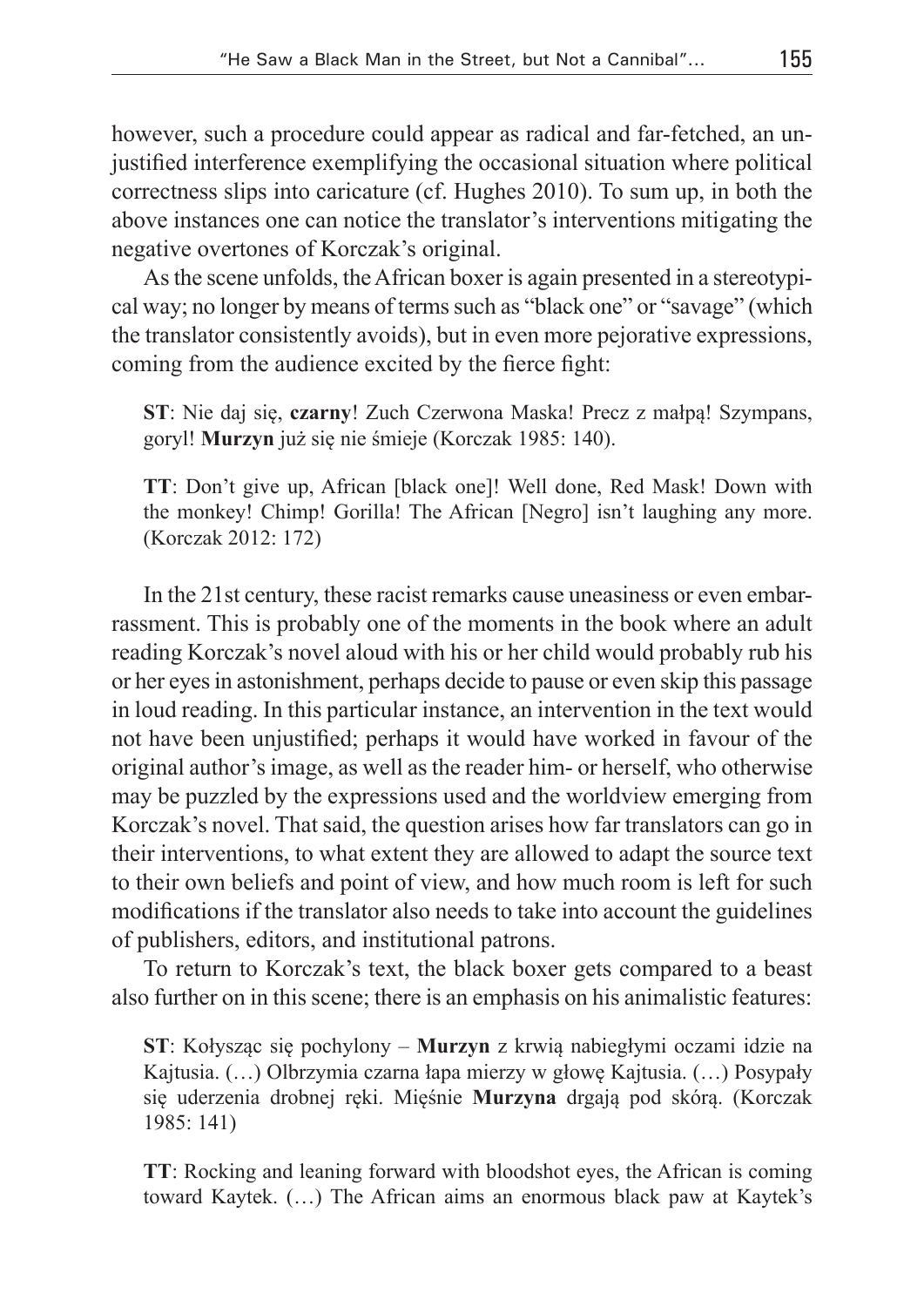however, such a procedure could appear as radical and far-fetched, an unjustified interference exemplifying the occasional situation where political correctness slips into caricature (cf. Hughes 2010). To sum up, in both the above instances one can notice the translator's interventions mitigating the negative overtones of Korczak's original.

As the scene unfolds, the African boxer is again presented in a stereotypical way; no longer by means of terms such as "black one" or "savage" (which the translator consistently avoids), but in even more pejorative expressions, coming from the audience excited by the fierce fight:

**ST**: Nie daj się, **czarny**! Zuch Czerwona Maska! Precz z małpą! Szympans, goryl! **Murzyn** już się nie śmieje (Korczak 1985: 140).

**TT**: Don't give up, African [black one]! Well done, Red Mask! Down with the monkey! Chimp! Gorilla! The African [Negro] isn't laughing any more. (Korczak 2012: 172)

In the 21st century, these racist remarks cause uneasiness or even embarrassment. This is probably one of the moments in the book where an adult reading Korczak's novel aloud with his or her child would probably rub his or her eyes in astonishment, perhaps decide to pause or even skip this passage in loud reading. In this particular instance, an intervention in the text would not have been unjustified; perhaps it would have worked in favour of the original author's image, as well as the reader him- or herself, who otherwise may be puzzled by the expressions used and the worldview emerging from Korczak's novel. That said, the question arises how far translators can go in their interventions, to what extent they are allowed to adapt the source text to their own beliefs and point of view, and how much room is left for such modifications if the translator also needs to take into account the guidelines of publishers, editors, and institutional patrons.

To return to Korczak's text, the black boxer gets compared to a beast also further on in this scene; there is an emphasis on his animalistic features:

**ST**: Kołysząc się pochylony – **Murzyn** z krwią nabiegłymi oczami idzie na Kajtusia. (…) Olbrzymia czarna łapa mierzy w głowę Kajtusia. (…) Posypały się uderzenia drobnej ręki. Mięśnie **Murzyna** drgają pod skórą. (Korczak 1985: 141)

**TT**: Rocking and leaning forward with bloodshot eyes, the African is coming toward Kaytek. (…) The African aims an enormous black paw at Kaytek's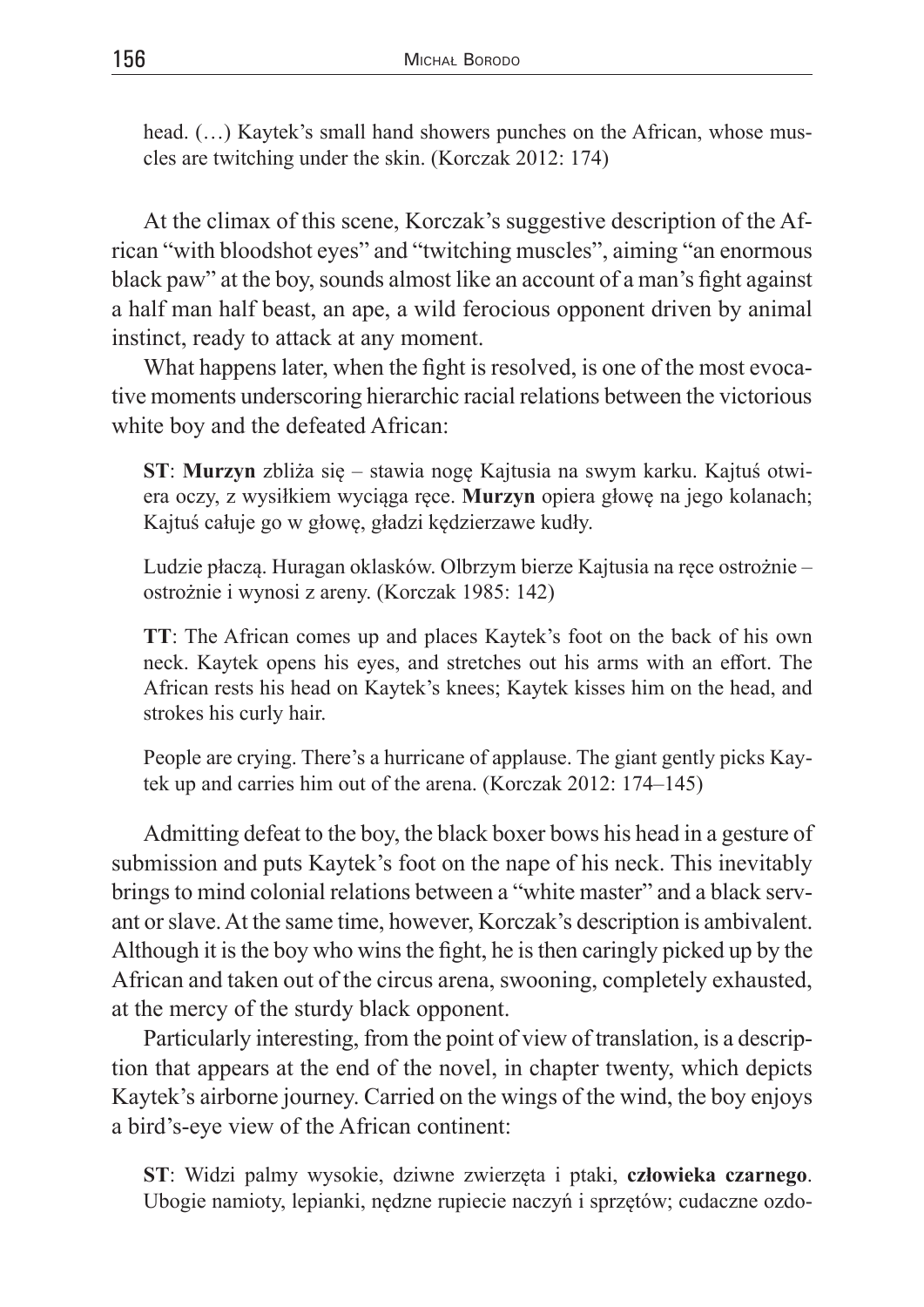head.  $(...)$  Kaytek's small hand showers punches on the African, whose muscles are twitching under the skin. (Korczak 2012: 174)

At the climax of this scene, Korczak's suggestive description of the African "with bloodshot eyes" and "twitching muscles", aiming "an enormous black paw" at the boy, sounds almost like an account of a man's fight against a half man half beast, an ape, a wild ferocious opponent driven by animal instinct, ready to attack at any moment.

What happens later, when the fight is resolved, is one of the most evocative moments underscoring hierarchic racial relations between the victorious white boy and the defeated African:

**ST**: **Murzyn** zbliża się – stawia nogę Kajtusia na swym karku. Kajtuś otwiera oczy, z wysiłkiem wyciąga ręce. **Murzyn** opiera głowę na jego kolanach; Kajtuś całuje go w głowę, gładzi kędzierzawe kudły.

Ludzie płaczą. Huragan oklasków. Olbrzym bierze Kajtusia na ręce ostrożnie – ostrożnie i wynosi z areny. (Korczak 1985: 142)

**TT**: The African comes up and places Kaytek's foot on the back of his own neck. Kaytek opens his eyes, and stretches out his arms with an effort. The African rests his head on Kaytek's knees; Kaytek kisses him on the head, and strokes his curly hair.

People are crying. There's a hurricane of applause. The giant gently picks Kaytek up and carries him out of the arena. (Korczak 2012: 174–145)

Admitting defeat to the boy, the black boxer bows his head in a gesture of submission and puts Kaytek's foot on the nape of his neck. This inevitably brings to mind colonial relations between a "white master" and a black servant or slave. At the same time, however, Korczak's description is ambivalent. Although it is the boy who wins the fight, he is then caringly picked up by the African and taken out of the circus arena, swooning, completely exhausted, at the mercy of the sturdy black opponent.

Particularly interesting, from the point of view of translation, is a description that appears at the end of the novel, in chapter twenty, which depicts Kaytek's airborne journey. Carried on the wings of the wind, the boy enjoys a bird's-eye view of the African continent:

**ST**: Widzi palmy wysokie, dziwne zwierzęta i ptaki, **człowieka czarnego**. Ubogie namioty, lepianki, nędzne rupiecie naczyń i sprzętów; cudaczne ozdo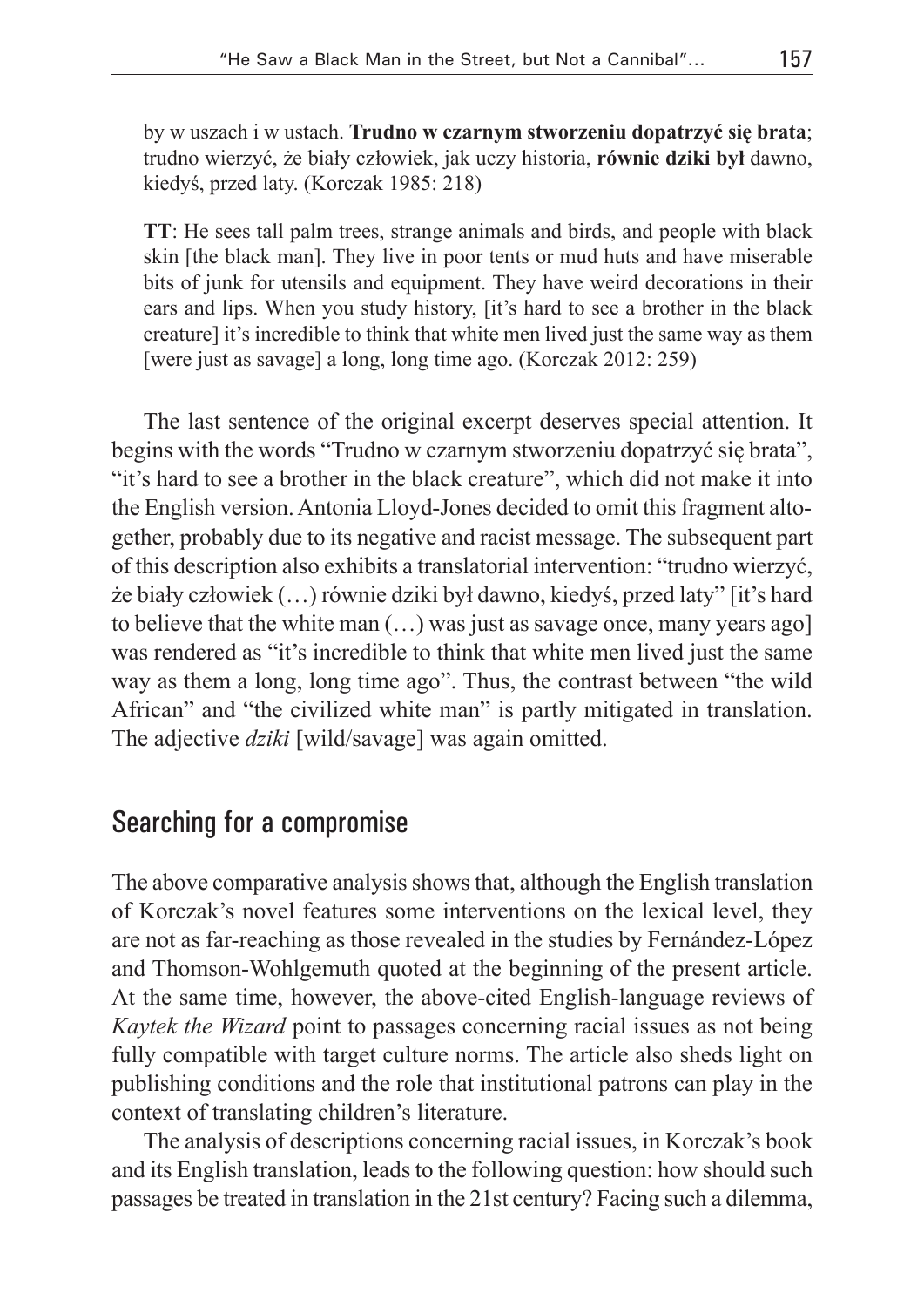by w uszach i w ustach. **Trudno w czarnym stworzeniu dopatrzyć się brata**; trudno wierzyć, że biały człowiek, jak uczy historia, **równie dziki był** dawno, kiedyś, przed laty. (Korczak 1985: 218)

**TT**: He sees tall palm trees, strange animals and birds, and people with black skin [the black man]. They live in poor tents or mud huts and have miserable bits of junk for utensils and equipment. They have weird decorations in their ears and lips. When you study history, [it's hard to see a brother in the black creature] it's incredible to think that white men lived just the same way as them [were just as savage] a long, long time ago. (Korczak 2012: 259)

The last sentence of the original excerpt deserves special attention. It begins with the words "Trudno w czarnym stworzeniu dopatrzyć się brata", "it's hard to see a brother in the black creature", which did not make it into the English version. Antonia Lloyd-Jones decided to omit this fragment altogether, probably due to its negative and racist message. The subsequent part of this description also exhibits a translatorial intervention: "trudno wierzyć, że biały człowiek (…) równie dziki był dawno, kiedyś, przed laty" [it's hard to believe that the white man (…) was just as savage once, many years ago] was rendered as "it's incredible to think that white men lived just the same way as them a long, long time ago". Thus, the contrast between "the wild African" and "the civilized white man" is partly mitigated in translation. The adjective *dziki* [wild/savage] was again omitted.

## Searching for a compromise

The above comparative analysis shows that, although the English translation of Korczak's novel features some interventions on the lexical level, they are not as far-reaching as those revealed in the studies by Fernández-López and Thomson-Wohlgemuth quoted at the beginning of the present article. At the same time, however, the above-cited English-language reviews of *Kaytek the Wizard* point to passages concerning racial issues as not being fully compatible with target culture norms. The article also sheds light on publishing conditions and the role that institutional patrons can play in the context of translating children's literature.

The analysis of descriptions concerning racial issues, in Korczak's book and its English translation, leads to the following question: how should such passages be treated in translation in the 21st century? Facing such a dilemma,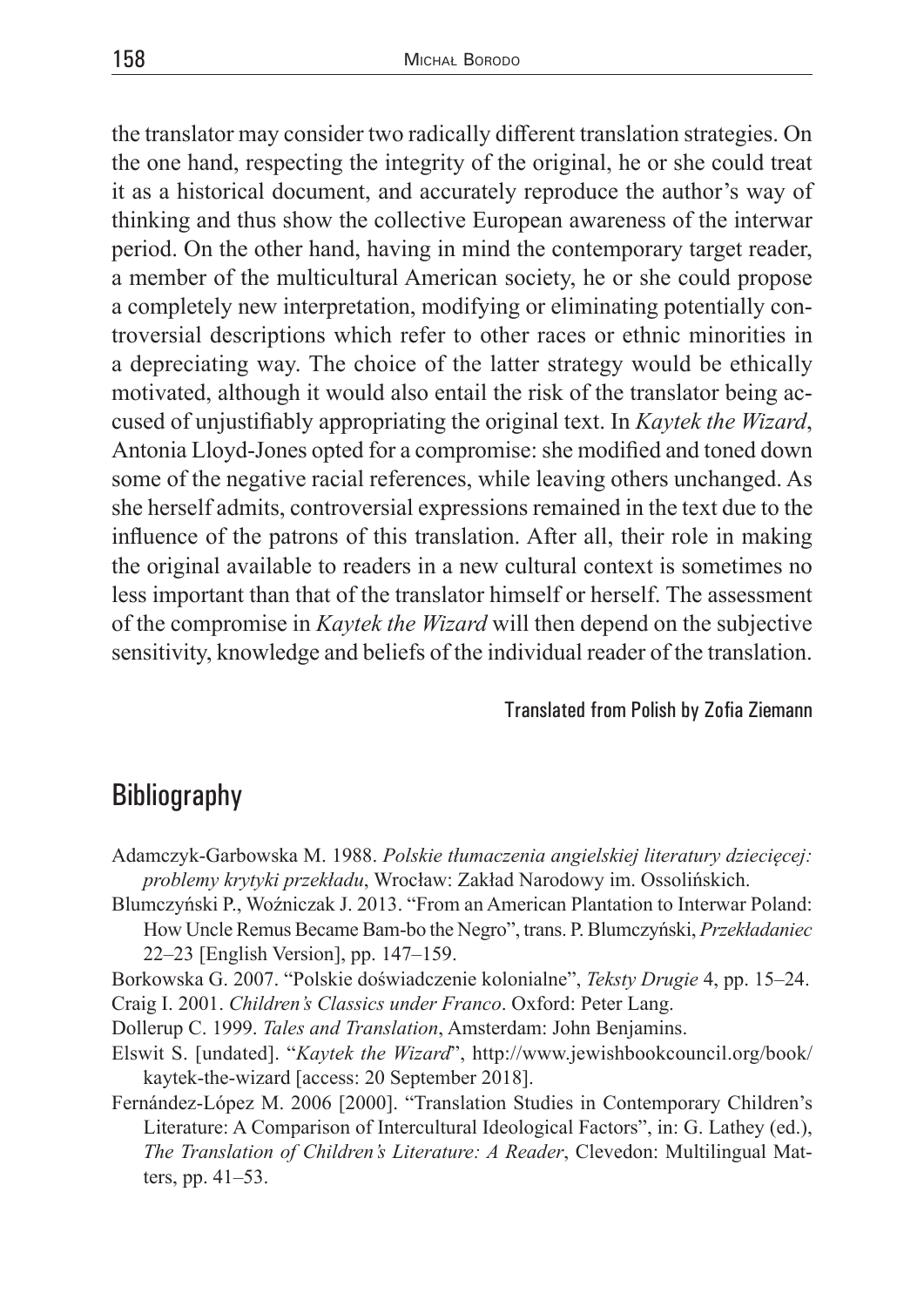the translator may consider two radically different translation strategies. On the one hand, respecting the integrity of the original, he or she could treat it as a historical document, and accurately reproduce the author's way of thinking and thus show the collective European awareness of the interwar period. On the other hand, having in mind the contemporary target reader, a member of the multicultural American society, he or she could propose a completely new interpretation, modifying or eliminating potentially controversial descriptions which refer to other races or ethnic minorities in a depreciating way. The choice of the latter strategy would be ethically motivated, although it would also entail the risk of the translator being accused of unjustifiably appropriating the original text. In *Kaytek the Wizard*, Antonia Lloyd-Jones opted for a compromise: she modified and toned down some of the negative racial references, while leaving others unchanged. As she herself admits, controversial expressions remained in the text due to the influence of the patrons of this translation. After all, their role in making the original available to readers in a new cultural context is sometimes no less important than that of the translator himself or herself. The assessment of the compromise in *Kaytek the Wizard* will then depend on the subjective sensitivity, knowledge and beliefs of the individual reader of the translation.

#### Translated from Polish by Zofia Ziemann

## **Bibliography**

- Adamczyk-Garbowska M. 1988. *Polskie tłumaczenia angielskiej literatury dziecięcej: problemy krytyki przekładu*, Wrocław: Zakład Narodowy im. Ossolińskich.
- Blumczyński P., Woźniczak J. 2013. "From an American Plantation to Interwar Poland: How Uncle Remus Became Bam-bo the Negro", trans. P.Blumczyński, *Przekładaniec* 22–23 [English Version], pp. 147–159.
- Borkowska G. 2007. "Polskie doświadczenie kolonialne", *Teksty Drugie* 4, pp. 15–24. Craig I. 2001. *Children's Classics under Franco*. Oxford: Peter Lang.
- Dollerup C. 1999. *Tales and Translation*, Amsterdam: John Benjamins.
- Elswit S. [undated]. "*Kaytek the Wizard*", http://www.jewishbookcouncil.org/book/ kaytek-the-wizard [access: 20 September 2018].
- Fernández-López M. 2006 [2000]. "Translation Studies in Contemporary Children's Literature: A Comparison of Intercultural Ideological Factors", in: G. Lathey (ed.), *The Translation of Children's Literature: A Reader*, Clevedon: Multilingual Matters, pp. 41–53.